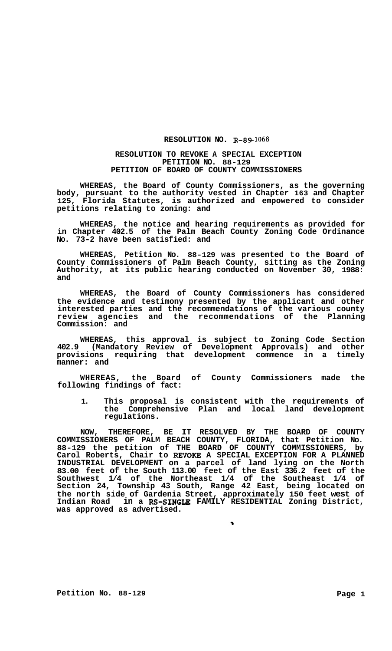## **RESOLUTION NO. R-89-1068**

## **RESOLUTION TO REVOKE A SPECIAL EXCEPTION PETITION NO. 88-129 PETITION OF BOARD OF COUNTY COMMISSIONERS**

**WHEREAS, the Board of County Commissioners, as the governing body, pursuant to the authority vested in Chapter 163 and Chapter 125, Florida Statutes, is authorized and empowered to consider petitions relating to zoning: and** 

**WHEREAS, the notice and hearing requirements as provided for in Chapter 402.5 of the Palm Beach County Zoning Code Ordinance No. 73-2 have been satisfied: and** 

**WHEREAS, Petition No. 88-129 was presented to the Board of County Commissioners of Palm Beach County, sitting as the Zoning Authority, at its public hearing conducted on November 30, 1988: and** 

**WHEREAS, the Board of County Commissioners has considered the evidence and testimony presented by the applicant and other interested parties and the recommendations of the various county review agencies and the recommendations of the Planning Commission: and** 

**WHEREAS, this approval is subject to Zoning Code Section 402.9 (Mandatory Review of Development Approvals) and other provisions requiring that development commence in a timely manner: and** 

**WHEREAS, the Board of County Commissioners made the following findings of fact:** 

**1. This proposal is consistent with the requirements of the Comprehensive Plan and local land development regulations.** 

**NOW, THEREFORE, BE IT RESOLVED BY THE BOARD OF COUNTY COMMISSIONERS OF PALM BEACH COUNTY, FLORIDA, that Petition No. 88-129 the petition of THE BOARD OF COUNTY COMMISSIONERS, by Carol Roberts, Chair to REVOKE A SPECIAL EXCEPTION FOR A PLANNED INDUSTRIAL DEVELOPMENT on a parcel of land lying on the North 83.00 feet of the South 113.00 feet of the East 336.2 feet of the Southwest 1/4 of the Northeast 1/4 of the Southeast 1/4 of Section 24, Township 43 South, Range 42 East, being located on the north side of Gardenia Street, approximately 150 feet west of Indian Road in a Rs-SINGLE FAMILY RESIDENTIAL Zoning District, was approved as advertised.** 

 $\bullet$